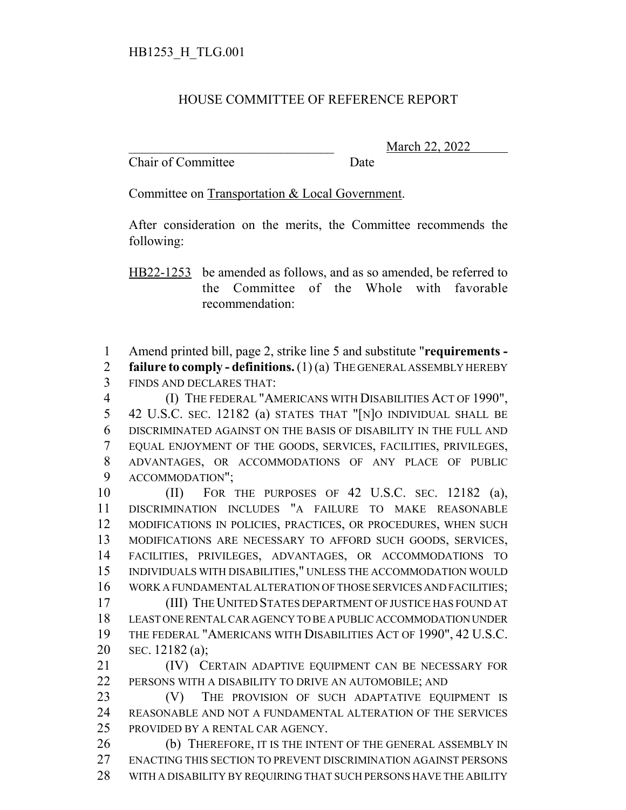## HOUSE COMMITTEE OF REFERENCE REPORT

Chair of Committee Date

March 22, 2022

Committee on Transportation & Local Government.

After consideration on the merits, the Committee recommends the following:

HB22-1253 be amended as follows, and as so amended, be referred to the Committee of the Whole with favorable recommendation:

Amend printed bill, page 2, strike line 5 and substitute "**requirements -**

 **failure to comply - definitions.** (1) (a) THE GENERAL ASSEMBLY HEREBY FINDS AND DECLARES THAT:

 (I) THE FEDERAL "AMERICANS WITH DISABILITIES ACT OF 1990", 42 U.S.C. SEC. 12182 (a) STATES THAT "[N]O INDIVIDUAL SHALL BE DISCRIMINATED AGAINST ON THE BASIS OF DISABILITY IN THE FULL AND EQUAL ENJOYMENT OF THE GOODS, SERVICES, FACILITIES, PRIVILEGES, ADVANTAGES, OR ACCOMMODATIONS OF ANY PLACE OF PUBLIC ACCOMMODATION";

 (II) FOR THE PURPOSES OF 42 U.S.C. SEC. 12182 (a), DISCRIMINATION INCLUDES "A FAILURE TO MAKE REASONABLE MODIFICATIONS IN POLICIES, PRACTICES, OR PROCEDURES, WHEN SUCH MODIFICATIONS ARE NECESSARY TO AFFORD SUCH GOODS, SERVICES, FACILITIES, PRIVILEGES, ADVANTAGES, OR ACCOMMODATIONS TO INDIVIDUALS WITH DISABILITIES," UNLESS THE ACCOMMODATION WOULD WORK A FUNDAMENTAL ALTERATION OF THOSE SERVICES AND FACILITIES; (III) THE UNITED STATES DEPARTMENT OF JUSTICE HAS FOUND AT

 LEAST ONE RENTAL CAR AGENCY TO BE A PUBLIC ACCOMMODATION UNDER THE FEDERAL "AMERICANS WITH DISABILITIES ACT OF 1990", 42 U.S.C. SEC. 12182 (a);

**(IV)** CERTAIN ADAPTIVE EQUIPMENT CAN BE NECESSARY FOR 22 PERSONS WITH A DISABILITY TO DRIVE AN AUTOMOBILE; AND

23 (V) THE PROVISION OF SUCH ADAPTATIVE EQUIPMENT IS REASONABLE AND NOT A FUNDAMENTAL ALTERATION OF THE SERVICES PROVIDED BY A RENTAL CAR AGENCY.

 (b) THEREFORE, IT IS THE INTENT OF THE GENERAL ASSEMBLY IN ENACTING THIS SECTION TO PREVENT DISCRIMINATION AGAINST PERSONS WITH A DISABILITY BY REQUIRING THAT SUCH PERSONS HAVE THE ABILITY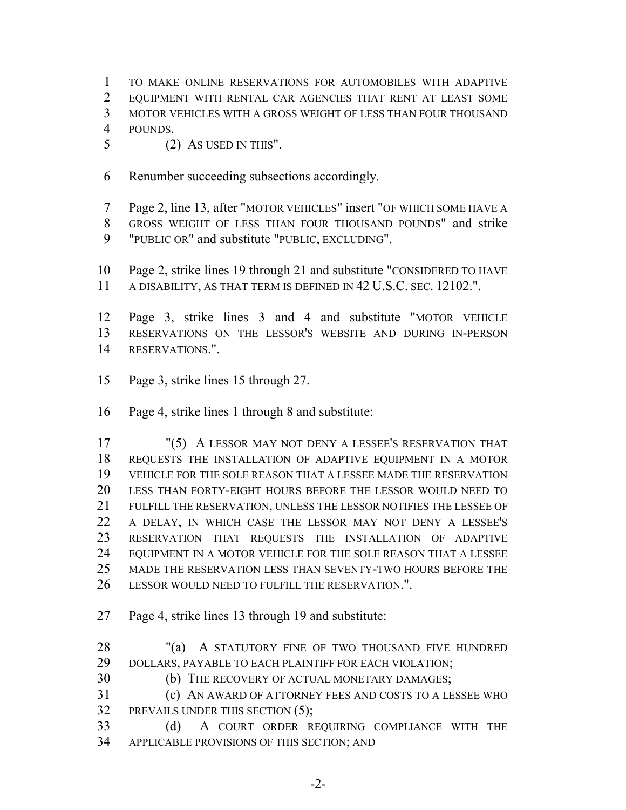- TO MAKE ONLINE RESERVATIONS FOR AUTOMOBILES WITH ADAPTIVE EQUIPMENT WITH RENTAL CAR AGENCIES THAT RENT AT LEAST SOME MOTOR VEHICLES WITH A GROSS WEIGHT OF LESS THAN FOUR THOUSAND
- POUNDS.
- (2) AS USED IN THIS".
- Renumber succeeding subsections accordingly.
- Page 2, line 13, after "MOTOR VEHICLES" insert "OF WHICH SOME HAVE A GROSS WEIGHT OF LESS THAN FOUR THOUSAND POUNDS" and strike "PUBLIC OR" and substitute "PUBLIC, EXCLUDING".
- Page 2, strike lines 19 through 21 and substitute "CONSIDERED TO HAVE A DISABILITY, AS THAT TERM IS DEFINED IN 42 U.S.C. SEC. 12102.".
- Page 3, strike lines 3 and 4 and substitute "MOTOR VEHICLE RESERVATIONS ON THE LESSOR'S WEBSITE AND DURING IN-PERSON RESERVATIONS.".
- Page 3, strike lines 15 through 27.
- Page 4, strike lines 1 through 8 and substitute:

 "(5) A LESSOR MAY NOT DENY A LESSEE'S RESERVATION THAT REQUESTS THE INSTALLATION OF ADAPTIVE EQUIPMENT IN A MOTOR VEHICLE FOR THE SOLE REASON THAT A LESSEE MADE THE RESERVATION LESS THAN FORTY-EIGHT HOURS BEFORE THE LESSOR WOULD NEED TO FULFILL THE RESERVATION, UNLESS THE LESSOR NOTIFIES THE LESSEE OF A DELAY, IN WHICH CASE THE LESSOR MAY NOT DENY A LESSEE'S RESERVATION THAT REQUESTS THE INSTALLATION OF ADAPTIVE EQUIPMENT IN A MOTOR VEHICLE FOR THE SOLE REASON THAT A LESSEE MADE THE RESERVATION LESS THAN SEVENTY-TWO HOURS BEFORE THE LESSOR WOULD NEED TO FULFILL THE RESERVATION.".

- Page 4, strike lines 13 through 19 and substitute:
- 28 "(a) A STATUTORY FINE OF TWO THOUSAND FIVE HUNDRED 29 DOLLARS, PAYABLE TO EACH PLAINTIFF FOR EACH VIOLATION;
- (b) THE RECOVERY OF ACTUAL MONETARY DAMAGES;
- (c) AN AWARD OF ATTORNEY FEES AND COSTS TO A LESSEE WHO PREVAILS UNDER THIS SECTION (5);
- (d) A COURT ORDER REQUIRING COMPLIANCE WITH THE APPLICABLE PROVISIONS OF THIS SECTION; AND